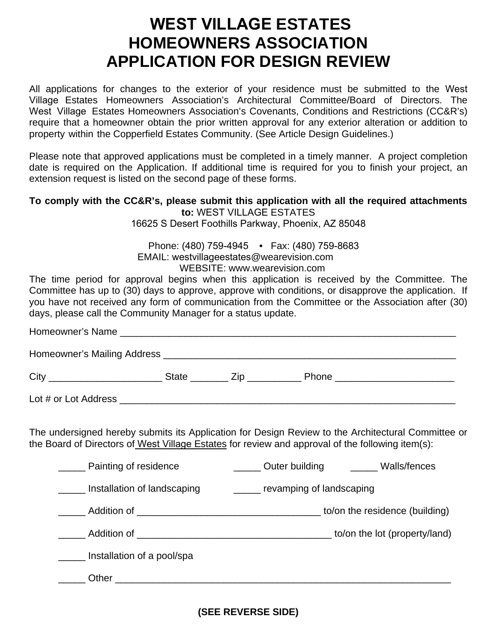# **WEST VILLAGE ESTATES HOMEOWNERS ASSOCIATION APPLICATION FOR DESIGN REVIEW**

All applications for changes to the exterior of your residence must be submitted to the West Village Estates Homeowners Association's Architectural Committee/Board of Directors. The West Village Estates Homeowners Association's Covenants, Conditions and Restrictions (CC&R's) require that a homeowner obtain the prior written approval for any exterior alteration or addition to property within the Copperfield Estates Community. (See Article Design Guidelines.)

Please note that approved applications must be completed in a timely manner. A project completion date is required on the Application. If additional time is required for you to finish your project, an extension request is listed on the second page of these forms.

### **To comply with the CC&R's, please submit this application with all the required attachments to:** WEST VILLAGE ESTATES

16625 S Desert Foothills Parkway, Phoenix, AZ 85048

 Phone: (480) 759-4945 • Fax: (480) 759-8683 EMAIL: westvillageestates@wearevision.com WEBSITE: www.wearevision.com

The time period for approval begins when this application is received by the Committee. The Committee has up to (30) days to approve, approve with conditions, or disapprove the application. If you have not received any form of communication from the Committee or the Association after (30) days, please call the Community Manager for a status update.

The undersigned hereby submits its Application for Design Review to the Architectural Committee or the Board of Directors of West Village Estates for review and approval of the following item(s):

| Painting of residence       | Outer building<br>Walls/fences |  |  |
|-----------------------------|--------------------------------|--|--|
| Installation of landscaping | _____ revamping of landscaping |  |  |
|                             | to/on the residence (building) |  |  |
|                             | to/on the lot (property/land)  |  |  |
| Installation of a pool/spa  |                                |  |  |
| Other                       |                                |  |  |